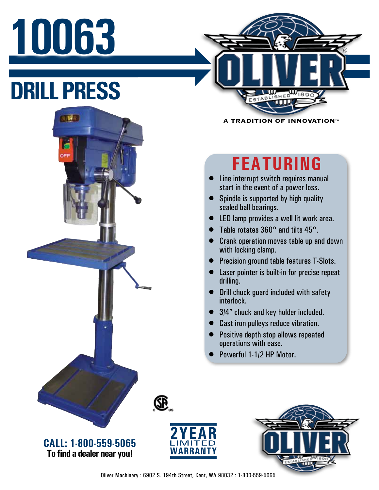## **10063**

**DRILL PRESS**

**OUMR** 



**A TRADITION OF INNOVATION™** 

## **FEATURING**

- Line interrupt switch requires manual start in the event of a power loss.
- Spindle is supported by high quality sealed ball bearings.
- LED lamp provides a well lit work area.
- Table rotates 360° and tilts 45°.
- Crank operation moves table up and down with locking clamp.
- Precision ground table features T-Slots.
- Laser pointer is built-in for precise repeat drilling.
- Drill chuck guard included with safety interlock.
- 3/4" chuck and key holder included.
- Cast iron pulleys reduce vibration.
- Positive depth stop allows repeated operations with ease.
- Powerful 1-1/2 HP Motor.



**CALL: 1-800-559-5065 To find a dealer near you!**